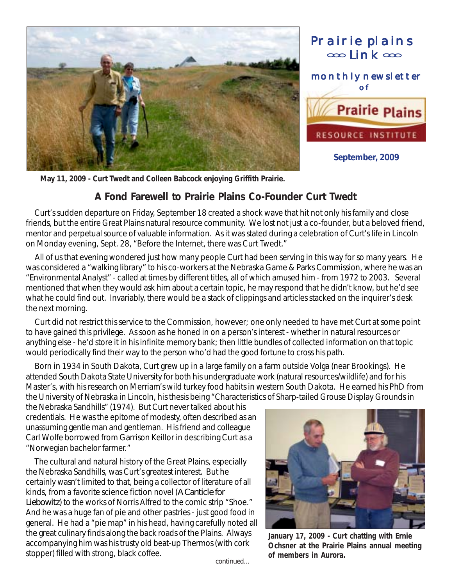



**September, 2009**

**May 11, 2009 - Curt Twedt and Colleen Babcock enjoying Griffith Prairie.**

## **A Fond Farewell to Prairie Plains Co-Founder Curt Twedt**

 Curt's sudden departure on Friday, September 18 created a shock wave that hit not only his family and close friends, but the entire Great Plains natural resource community. We lost not just a co-founder, but a beloved friend, mentor and perpetual source of valuable information. As it was stated during a celebration of Curt's life in Lincoln on Monday evening, Sept. 28, "Before the Internet, there was Curt Twedt."

 All of us that evening wondered just how many people Curt had been serving in this way for so many years. He was considered a "walking library" to his co-workers at the Nebraska Game & Parks Commission, where he was an "Environmental Analyst" - called at times by different titles, all of which amused him - from 1972 to 2003. Several mentioned that when they would ask him about a certain topic, he may respond that he didn't know, but he'd see what he could find out. Invariably, there would be a stack of clippings and articles stacked on the inquirer's desk the next morning.

 Curt did not restrict this service to the Commission, however; one only needed to have met Curt at some point to have gained this privilege. As soon as he honed in on a person's interest - whether in natural resources or anything else - he'd store it in his infinite memory bank; then little bundles of collected information on that topic would periodically find their way to the person who'd had the good fortune to cross his path.

 Born in 1934 in South Dakota, Curt grew up in a large family on a farm outside Volga (near Brookings). He attended South Dakota State University for both his undergraduate work (natural resources/wildlife) and for his Master's, with his research on Merriam's wild turkey food habits in western South Dakota. He earned his PhD from the University of Nebraska in Lincoln, his thesis being "Characteristics of Sharp-tailed Grouse Display Grounds in

the Nebraska Sandhills" (1974). But Curt never talked about his credentials. He was the epitome of modesty, often described as an unassuming gentle man and gentleman. His friend and colleague Carl Wolfe borrowed from Garrison Keillor in describing Curt as a "Norwegian bachelor farmer."

 The cultural and natural history of the Great Plains, especially the Nebraska Sandhills, was Curt's greatest interest. But he certainly wasn't limited to that, being a collector of literature of all kinds, from a favorite science fiction novel (*A Canticle for Liebowitz*) to the works of Norris Alfred to the comic strip "Shoe." And he was a huge fan of pie and other pastries - just good food in general. He had a "pie map" in his head, having carefully noted all the great culinary finds along the back roads of the Plains. Always accompanying him was his trusty old beat-up Thermos (with cork stopper) filled with strong, black coffee.



**January 17, 2009 - Curt chatting with Ernie Ochsner at the Prairie Plains annual meeting of members in Aurora.**

*continued...*